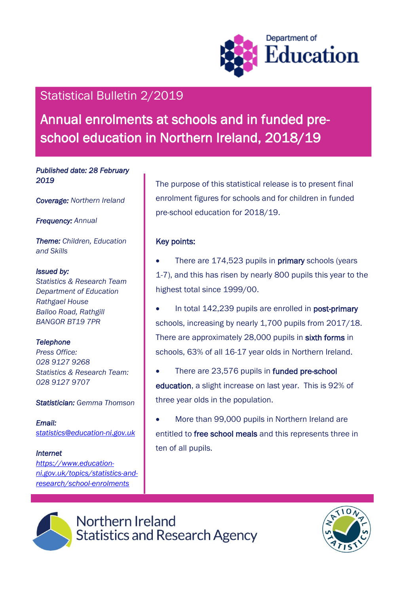

# Statistical Bulletin 2/2019

Annual enrolments at schools and in funded preschool education in Northern Ireland, 2018/19

*Published date: 28 February 2019* 

*Coverage: Northern Ireland* 

*Frequency: Annual*

*Theme: Children, Education and Skills*

#### *Issued by:*

*Statistics & Research Team Department of Education Rathgael House Balloo Road, Rathgill BANGOR BT19 7PR*

### *Telephone*

*Press Office: 028 9127 9268 Statistics & Research Team: 028 9127 9707*

#### *Statistician: Gemma Thomson*

*Email: [statistics@education-ni.gov.uk](mailto:statistics@education-ni.gov.uk)*

#### *Internet*

*[https://www.education](https://www.education-ni.gov.uk/topics/statistics-and-research/school-enrolments)[ni.gov.uk/topics/statistics-and](https://www.education-ni.gov.uk/topics/statistics-and-research/school-enrolments)[research/school-enrolments](https://www.education-ni.gov.uk/topics/statistics-and-research/school-enrolments)*

The purpose of this statistical release is to present final enrolment figures for schools and for children in funded pre-school education for 2018/19.

### Key points:

- There are 174,523 pupils in **primary** schools (years 1-7), and this has risen by nearly 800 pupils this year to the highest total since 1999/00.
- In total 142,239 pupils are enrolled in post-primary schools, increasing by nearly 1,700 pupils from 2017/18. There are approximately 28,000 pupils in sixth forms in schools, 63% of all 16-17 year olds in Northern Ireland.
- There are 23,576 pupils in funded pre-school education, a slight increase on last year. This is 92% of three year olds in the population.
- More than 99,000 pupils in Northern Ireland are entitled to free school meals and this represents three in ten of all pupils.



Northern Ireland **Statistics and Research Agency** 

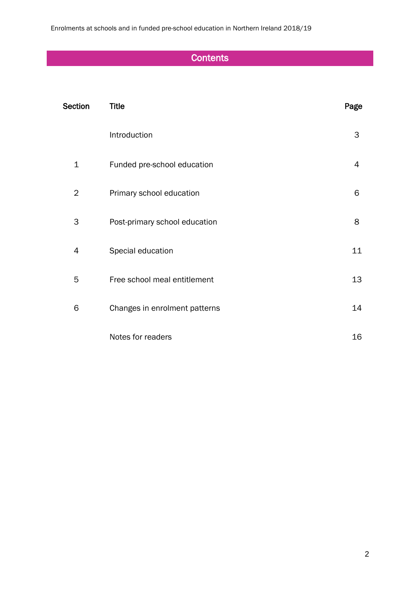Enrolments at schools and in funded pre-school education in Northern Ireland 2018/19

# **Contents**

| Section     | <b>Title</b>                  | Page |
|-------------|-------------------------------|------|
|             | Introduction                  | 3    |
| $\mathbf 1$ | Funded pre-school education   | 4    |
| 2           | Primary school education      | 6    |
| 3           | Post-primary school education | 8    |
| 4           | Special education             | 11   |
| 5           | Free school meal entitlement  | 13   |
| 6           | Changes in enrolment patterns | 14   |
|             | Notes for readers             | 16   |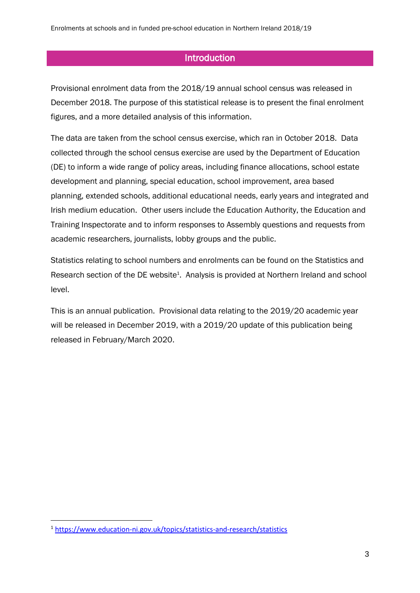# **Introduction**

Provisional enrolment data from the 2018/19 annual school census was released in December 2018. The purpose of this statistical release is to present the final enrolment figures, and a more detailed analysis of this information.

The data are taken from the school census exercise, which ran in October 2018. Data collected through the school census exercise are used by the Department of Education (DE) to inform a wide range of policy areas, including finance allocations, school estate development and planning, special education, school improvement, area based planning, extended schools, additional educational needs, early years and integrated and Irish medium education. Other users include the Education Authority, the Education and Training Inspectorate and to inform responses to Assembly questions and requests from academic researchers, journalists, lobby groups and the public.

Statistics relating to school numbers and enrolments can be found on the Statistics and Research section of the DE website<sup>1</sup>. Analysis is provided at Northern Ireland and school level.

This is an annual publication. Provisional data relating to the 2019/20 academic year will be released in December 2019, with a 2019/20 update of this publication being released in February/March 2020.

 $\overline{\phantom{a}}$ <sup>1</sup> <https://www.education-ni.gov.uk/topics/statistics-and-research/statistics>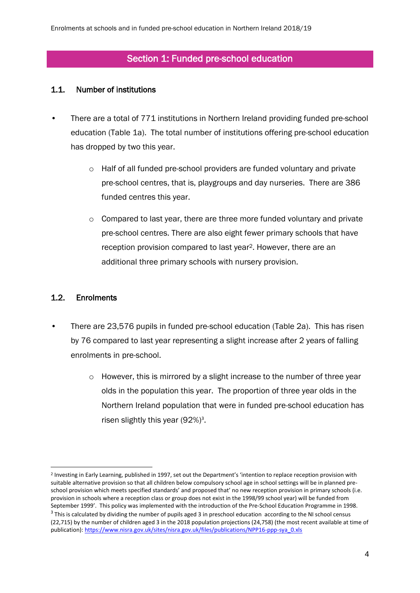# Section 1: Funded pre-school education

#### 1.1. Number of institutions

- There are a total of 771 institutions in Northern Ireland providing funded pre-school education (Table 1a). The total number of institutions offering pre-school education has dropped by two this year.
	- o Half of all funded pre-school providers are funded voluntary and private pre-school centres, that is, playgroups and day nurseries. There are 386 funded centres this year.
	- o Compared to last year, there are three more funded voluntary and private pre-school centres. There are also eight fewer primary schools that have reception provision compared to last year2. However, there are an additional three primary schools with nursery provision.

#### 1.2. Enrolments

1

- There are 23,576 pupils in funded pre-school education (Table 2a). This has risen by 76 compared to last year representing a slight increase after 2 years of falling enrolments in pre-school.
	- $\circ$  However, this is mirrored by a slight increase to the number of three year olds in the population this year. The proportion of three year olds in the Northern Ireland population that were in funded pre-school education has risen slightly this year  $(92\%)^3$ .

<sup>2</sup> Investing in Early Learning, published in 1997, set out the Department's 'intention to replace reception provision with suitable alternative provision so that all children below compulsory school age in school settings will be in planned preschool provision which meets specified standards' and proposed that' no new reception provision in primary schools (i.e. provision in schools where a reception class or group does not exist in the 1998/99 school year) will be funded from September 1999'. This policy was implemented with the introduction of the Pre-School Education Programme in 1998.  $3$  This is calculated by dividing the number of pupils aged 3 in preschool education according to the NI school census (22,715) by the number of children aged 3 in the 2018 population projections (24,758) (the most recent available at time of publication): https://www.nisra.gov.uk/sites/nisra.gov.uk/files/publications/NPP16-ppp-sya\_0.xls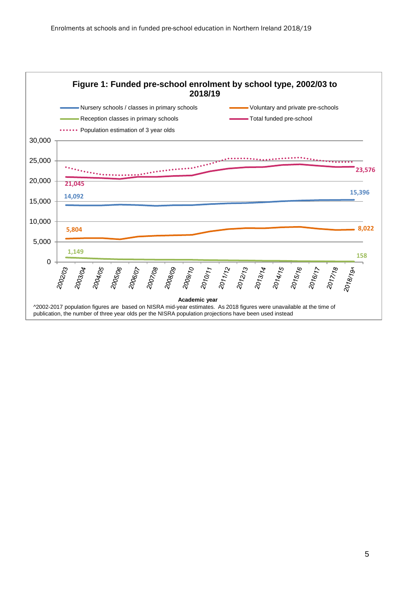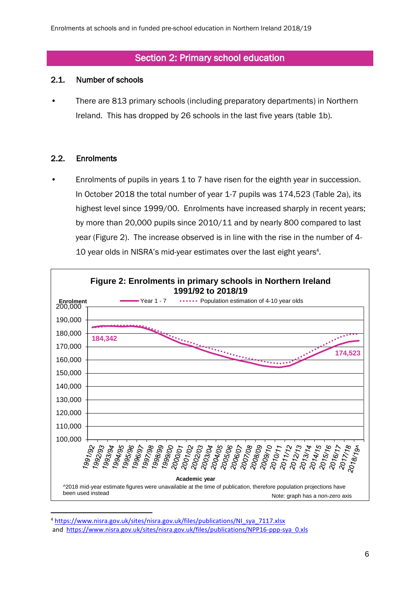# Section 2: Primary school education

#### 2.1. Number of schools

• There are 813 primary schools (including preparatory departments) in Northern Ireland. This has dropped by 26 schools in the last five years (table 1b).

#### 2.2. Enrolments

Enrolments of pupils in years 1 to 7 have risen for the eighth year in succession. In October 2018 the total number of year 1-7 pupils was 174,523 (Table 2a), its highest level since 1999/00. Enrolments have increased sharply in recent years; by more than 20,000 pupils since 2010/11 and by nearly 800 compared to last year (Figure 2). The increase observed is in line with the rise in the number of 4- 10 year olds in NISRA's mid-year estimates over the last eight years<sup>4</sup>.



<sup>4</sup> https://www.nisra.gov.uk/sites/nisra.gov.uk/files/publications/NI\_sya\_7117.xlsx and https://www.nisra.gov.uk/sites/nisra.gov.uk/files/publications/NPP16-ppp-sya\_0.xls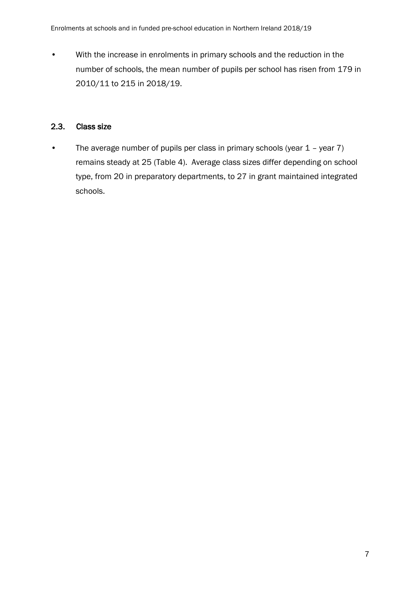• With the increase in enrolments in primary schools and the reduction in the number of schools, the mean number of pupils per school has risen from 179 in 2010/11 to 215 in 2018/19.

### 2.3. Class size

• The average number of pupils per class in primary schools (year 1 – year 7) remains steady at 25 (Table 4). Average class sizes differ depending on school type, from 20 in preparatory departments, to 27 in grant maintained integrated schools.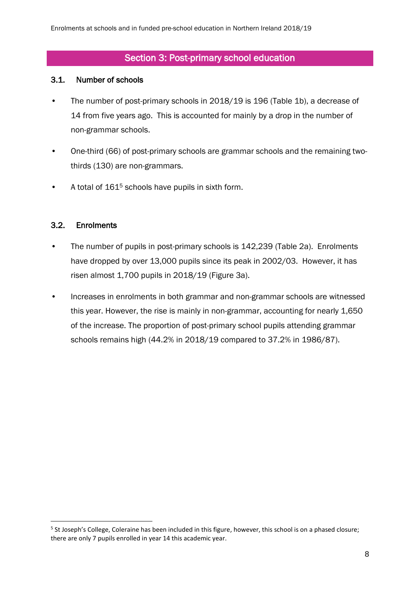# Section 3: Post-primary school education

#### 3.1. Number of schools

- The number of post-primary schools in 2018/19 is 196 (Table 1b), a decrease of 14 from five years ago. This is accounted for mainly by a drop in the number of non-grammar schools.
- One-third (66) of post-primary schools are grammar schools and the remaining twothirds (130) are non-grammars.
- A total of 161<sup>5</sup> schools have pupils in sixth form.

#### 3.2. Enrolments

1

- The number of pupils in post-primary schools is 142,239 (Table 2a). Enrolments have dropped by over 13,000 pupils since its peak in 2002/03. However, it has risen almost 1,700 pupils in 2018/19 (Figure 3a).
- Increases in enrolments in both grammar and non-grammar schools are witnessed this year. However, the rise is mainly in non-grammar, accounting for nearly 1,650 of the increase. The proportion of post-primary school pupils attending grammar schools remains high (44.2% in 2018/19 compared to 37.2% in 1986/87).

<sup>&</sup>lt;sup>5</sup> St Joseph's College, Coleraine has been included in this figure, however, this school is on a phased closure; there are only 7 pupils enrolled in year 14 this academic year.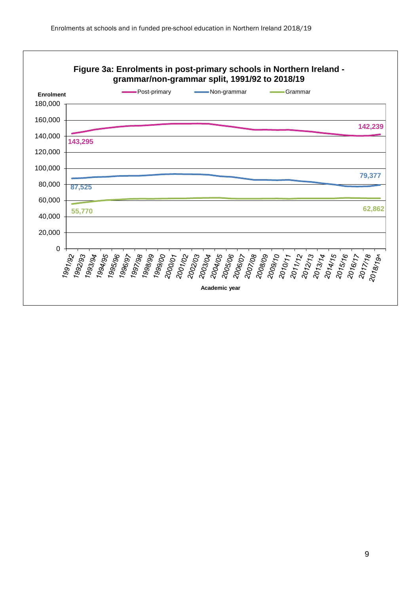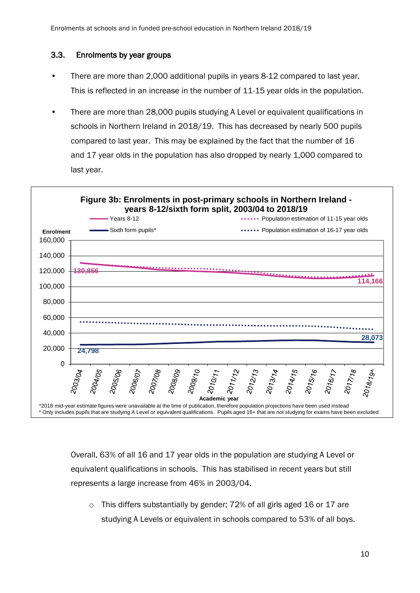#### 3.3. Enrolments by year groups

- There are more than 2,000 additional pupils in years 8-12 compared to last year. This is reflected in an increase in the number of 11-15 year olds in the population.
- There are more than 28,000 pupils studying A Level or equivalent qualifications in schools in Northern Ireland in 2018/19. This has decreased by nearly 500 pupils compared to last year. This may be explained by the fact that the number of 16 and 17 year olds in the population has also dropped by nearly 1,000 compared to last year.



Overall, 63% of all 16 and 17 year olds in the population are studying A Level or equivalent qualifications in schools. This has stabilised in recent years but still represents a large increase from 46% in 2003/04.

o This differs substantially by gender; 72% of all girls aged 16 or 17 are studying A Levels or equivalent in schools compared to 53% of all boys.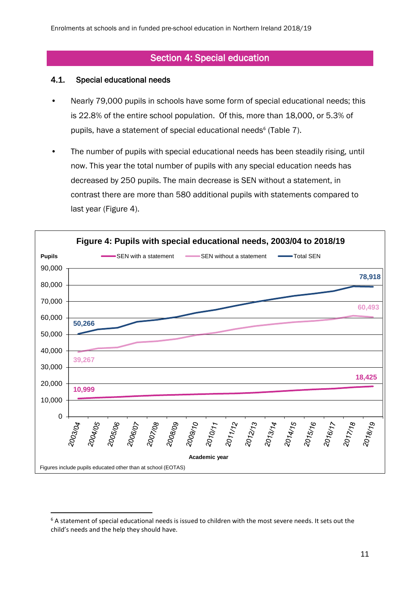# Section 4: Special education

#### 4.1. Special educational needs

**.** 

- Nearly 79,000 pupils in schools have some form of special educational needs; this is 22.8% of the entire school population. Of this, more than 18,000, or 5.3% of pupils, have a statement of special educational needs<sup>6</sup> (Table 7).
- The number of pupils with special educational needs has been steadily rising, until now. This year the total number of pupils with any special education needs has decreased by 250 pupils. The main decrease is SEN without a statement, in contrast there are more than 580 additional pupils with statements compared to last year (Figure 4).



<sup>6</sup> A statement of special educational needs is issued to children with the most severe needs. It sets out the child's needs and the help they should have.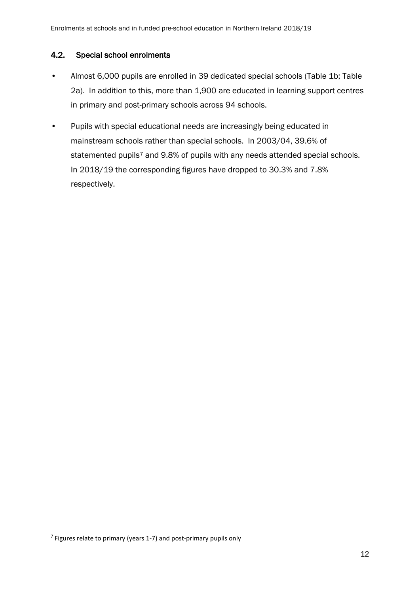#### 4.2. Special school enrolments

- Almost 6,000 pupils are enrolled in 39 dedicated special schools (Table 1b; Table 2a). In addition to this, more than 1,900 are educated in learning support centres in primary and post-primary schools across 94 schools.
- Pupils with special educational needs are increasingly being educated in mainstream schools rather than special schools. In 2003/04, 39.6% of statemented pupils<sup>7</sup> and 9.8% of pupils with any needs attended special schools. In 2018/19 the corresponding figures have dropped to 30.3% and 7.8% respectively.

**<sup>.</sup>** <sup>7</sup> Figures relate to primary (years 1-7) and post-primary pupils only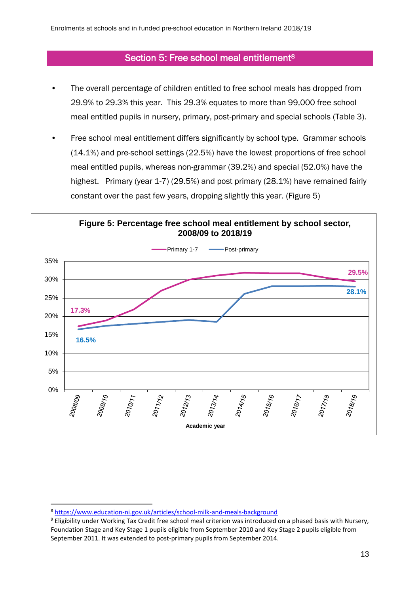## Section 5: Free school meal entitlement<sup>8</sup>

- The overall percentage of children entitled to free school meals has dropped from 29.9% to 29.3% this year. This 29.3% equates to more than 99,000 free school meal entitled pupils in nursery, primary, post-primary and special schools (Table 3).
- Free school meal entitlement differs significantly by school type. Grammar schools (14.1%) and pre-school settings (22.5%) have the lowest proportions of free school meal entitled pupils, whereas non-grammar (39.2%) and special (52.0%) have the highest. Primary (year 1-7) (29.5%) and post primary (28.1%) have remained fairly constant over the past few years, dropping slightly this year. (Figure 5)



1

<sup>8</sup> <https://www.education-ni.gov.uk/articles/school-milk-and-meals-background>

<sup>9</sup> Eligibility under Working Tax Credit free school meal criterion was introduced on a phased basis with Nursery, Foundation Stage and Key Stage 1 pupils eligible from September 2010 and Key Stage 2 pupils eligible from September 2011. It was extended to post-primary pupils from September 2014.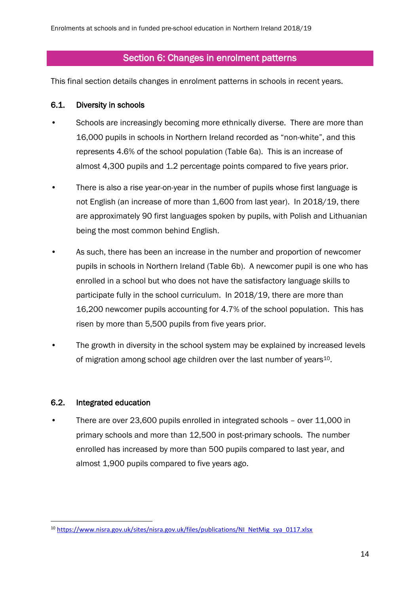# Section 6: Changes in enrolment patterns

This final section details changes in enrolment patterns in schools in recent years.

#### 6.1. Diversity in schools

- Schools are increasingly becoming more ethnically diverse. There are more than 16,000 pupils in schools in Northern Ireland recorded as "non-white", and this represents 4.6% of the school population (Table 6a). This is an increase of almost 4,300 pupils and 1.2 percentage points compared to five years prior.
- There is also a rise year-on-year in the number of pupils whose first language is not English (an increase of more than 1,600 from last year). In 2018/19, there are approximately 90 first languages spoken by pupils, with Polish and Lithuanian being the most common behind English.
- As such, there has been an increase in the number and proportion of newcomer pupils in schools in Northern Ireland (Table 6b). A newcomer pupil is one who has enrolled in a school but who does not have the satisfactory language skills to participate fully in the school curriculum. In 2018/19, there are more than 16,200 newcomer pupils accounting for 4.7% of the school population. This has risen by more than 5,500 pupils from five years prior.
- The growth in diversity in the school system may be explained by increased levels of migration among school age children over the last number of vears<sup>10</sup>.

#### 6.2. Integrated education

1

• There are over 23,600 pupils enrolled in integrated schools – over 11,000 in primary schools and more than 12,500 in post-primary schools. The number enrolled has increased by more than 500 pupils compared to last year, and almost 1,900 pupils compared to five years ago.

<sup>&</sup>lt;sup>10</sup> https://www.nisra.gov.uk/sites/nisra.gov.uk/files/publications/NI\_NetMig\_sya\_0117.xlsx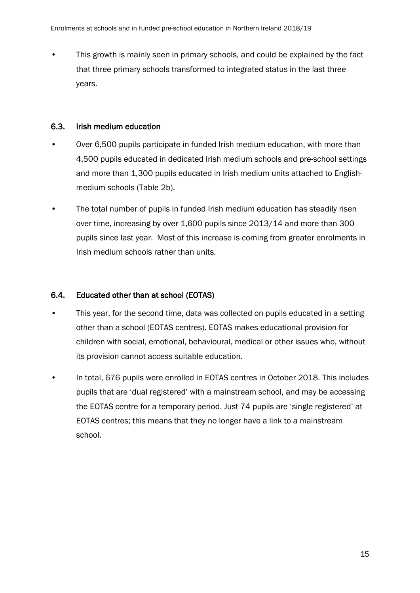• This growth is mainly seen in primary schools, and could be explained by the fact that three primary schools transformed to integrated status in the last three years.

#### 6.3. Irish medium education

- Over 6,500 pupils participate in funded Irish medium education, with more than 4,500 pupils educated in dedicated Irish medium schools and pre-school settings and more than 1,300 pupils educated in Irish medium units attached to Englishmedium schools (Table 2b).
- The total number of pupils in funded Irish medium education has steadily risen over time, increasing by over 1,600 pupils since 2013/14 and more than 300 pupils since last year. Most of this increase is coming from greater enrolments in Irish medium schools rather than units.

### 6.4. Educated other than at school (EOTAS)

- This year, for the second time, data was collected on pupils educated in a setting other than a school (EOTAS centres). EOTAS makes educational provision for children with social, emotional, behavioural, medical or other issues who, without its provision cannot access suitable education.
- In total, 676 pupils were enrolled in EOTAS centres in October 2018. This includes pupils that are 'dual registered' with a mainstream school, and may be accessing the EOTAS centre for a temporary period. Just 74 pupils are 'single registered' at EOTAS centres; this means that they no longer have a link to a mainstream school.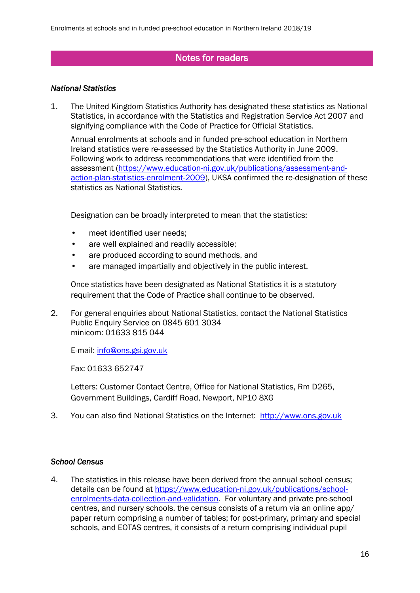# Notes for readers

#### *National Statistics*

1. The United Kingdom Statistics Authority has designated these statistics as National Statistics, in accordance with the Statistics and Registration Service Act 2007 and signifying compliance with the Code of Practice for Official Statistics.

Annual enrolments at schools and in funded pre-school education in Northern Ireland statistics were re-assessed by the Statistics Authority in June 2009. Following work to address recommendations that were identified from the assessment [\(https://www.education-ni.gov.uk/publications/assessment-and](https://www.education-ni.gov.uk/publications/assessment-and-action-plan-statistics-enrolment-2009)[action-plan-statistics-enrolment-2009\)](https://www.education-ni.gov.uk/publications/assessment-and-action-plan-statistics-enrolment-2009), UKSA confirmed the re-designation of these statistics as National Statistics.

Designation can be broadly interpreted to mean that the statistics:

- meet identified user needs;
- are well explained and readily accessible;
- are produced according to sound methods, and
- are managed impartially and objectively in the public interest.

Once statistics have been designated as National Statistics it is a statutory requirement that the Code of Practice shall continue to be observed.

2. For general enquiries about National Statistics, contact the National Statistics Public Enquiry Service on 0845 601 3034 minicom: 01633 815 044

E-mail: [info@ons.gsi.gov.uk](mailto:info@ons.gsi.gov.uk)

Fax: 01633 652747

Letters: Customer Contact Centre, Office for National Statistics, Rm D265, Government Buildings, Cardiff Road, Newport, NP10 8XG

3. You can also find National Statistics on the Internet: [http://www.ons.gov.uk](http://www.ons.gov.uk/)

#### *School Census*

4. The statistics in this release have been derived from the annual school census; details can be found at [https://www.education-ni.gov.uk/publications/school](https://www.education-ni.gov.uk/publications/school-enrolments-data-collection-and-validation)[enrolments-data-collection-and-validation.](https://www.education-ni.gov.uk/publications/school-enrolments-data-collection-and-validation) For voluntary and private pre-school centres, and nursery schools, the census consists of a return via an online app/ paper return comprising a number of tables; for post-primary, primary and special schools, and EOTAS centres, it consists of a return comprising individual pupil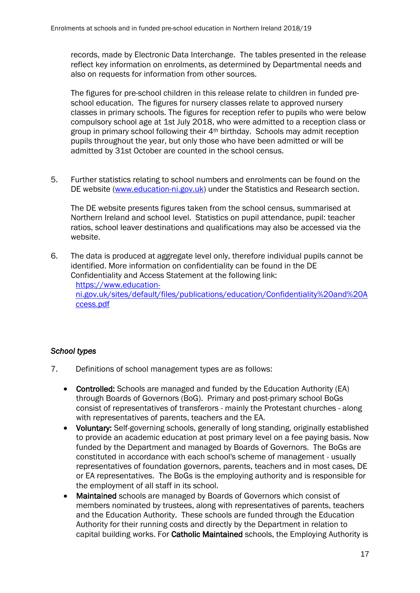records, made by Electronic Data Interchange. The tables presented in the release reflect key information on enrolments, as determined by Departmental needs and also on requests for information from other sources.

The figures for pre-school children in this release relate to children in funded preschool education. The figures for nursery classes relate to approved nursery classes in primary schools. The figures for reception refer to pupils who were below compulsory school age at 1st July 2018, who were admitted to a reception class or group in primary school following their 4th birthday. Schools may admit reception pupils throughout the year, but only those who have been admitted or will be admitted by 31st October are counted in the school census.

5. Further statistics relating to school numbers and enrolments can be found on the DE website [\(www.education-ni.gov.uk\)](http://www.education-ni.gov.uk/) under the Statistics and Research section.

The DE website presents figures taken from the school census, summarised at Northern Ireland and school level. Statistics on pupil attendance, pupil: teacher ratios, school leaver destinations and qualifications may also be accessed via the website.

6. The data is produced at aggregate level only, therefore individual pupils cannot be identified. More information on confidentiality can be found in the DE Confidentiality and Access Statement at the following link:

[https://www.education](https://www.education-ni.gov.uk/sites/default/files/publications/education/Confidentiality%20and%20Access.pdf)[ni.gov.uk/sites/default/files/publications/education/Confidentiality%20and%20A](https://www.education-ni.gov.uk/sites/default/files/publications/education/Confidentiality%20and%20Access.pdf) [ccess.pdf](https://www.education-ni.gov.uk/sites/default/files/publications/education/Confidentiality%20and%20Access.pdf)

#### *School types*

- 7. Definitions of school management types are as follows:
	- Controlled: Schools are managed and funded by the Education Authority (EA) through Boards of Governors (BoG). Primary and post-primary school BoGs consist of representatives of transferors - mainly the Protestant churches - along with representatives of parents, teachers and the EA.
	- Voluntary: Self-governing schools, generally of long standing, originally established to provide an academic education at post primary level on a fee paying basis. Now funded by the Department and managed by Boards of Governors. The BoGs are constituted in accordance with each school's scheme of management - usually representatives of foundation governors, parents, teachers and in most cases, DE or EA representatives. The BoGs is the employing authority and is responsible for the employment of all staff in its school.
	- Maintained schools are managed by Boards of Governors which consist of members nominated by trustees, along with representatives of parents, teachers and the Education Authority. These schools are funded through the Education Authority for their running costs and directly by the Department in relation to capital building works. For Catholic Maintained schools, the Employing Authority is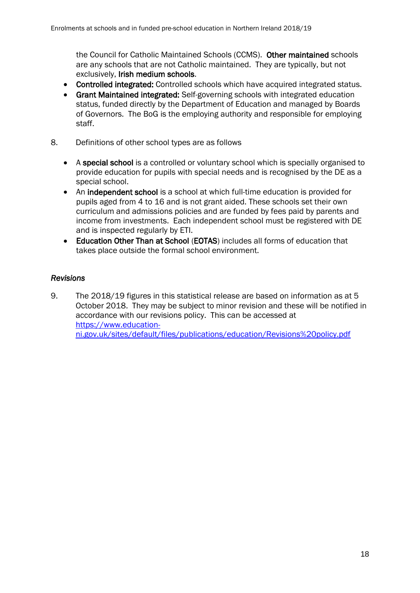the Council for Catholic Maintained Schools (CCMS). Other maintained schools are any schools that are not Catholic maintained. They are typically, but not exclusively, Irish medium schools.

- Controlled integrated: Controlled schools which have acquired integrated status.
- Grant Maintained integrated: Self-governing schools with integrated education status, funded directly by the Department of Education and managed by Boards of Governors. The BoG is the employing authority and responsible for employing staff.
- 8. Definitions of other school types are as follows
	- A special school is a controlled or voluntary school which is specially organised to provide education for pupils with special needs and is recognised by the DE as a special school.
	- An independent school is a school at which full-time education is provided for pupils aged from 4 to 16 and is not grant aided. These schools set their own curriculum and admissions policies and are funded by fees paid by parents and income from investments. Each independent school must be registered with DE and is inspected regularly by ETI.
	- Education Other Than at School (EOTAS) includes all forms of education that takes place outside the formal school environment.

#### *Revisions*

9. The 2018/19 figures in this statistical release are based on information as at 5 October 2018. They may be subject to minor revision and these will be notified in accordance with our revisions policy. This can be accessed at [https://www.education](https://www.education-ni.gov.uk/sites/default/files/publications/education/Revisions%20policy.pdf)[ni.gov.uk/sites/default/files/publications/education/Revisions%20policy.pdf](https://www.education-ni.gov.uk/sites/default/files/publications/education/Revisions%20policy.pdf)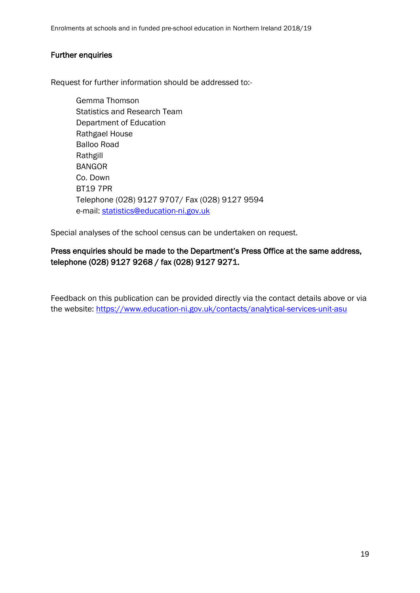Enrolments at schools and in funded pre-school education in Northern Ireland 2018/19

#### Further enquiries

Request for further information should be addressed to:-

Gemma Thomson Statistics and Research Team Department of Education Rathgael House Balloo Road Rathgill BANGOR Co. Down BT19 7PR Telephone (028) 9127 9707/ Fax (028) 9127 9594 e-mail: [statistics@education-ni.gov.uk](mailto:statistics@education-ni.gov.uk)

Special analyses of the school census can be undertaken on request.

## Press enquiries should be made to the Department's Press Office at the same address, telephone (028) 9127 9268 / fax (028) 9127 9271.

Feedback on this publication can be provided directly via the contact details above or via the website: <https://www.education-ni.gov.uk/contacts/analytical-services-unit-asu>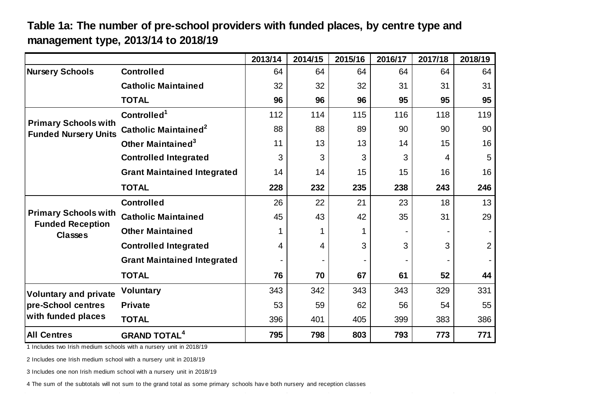# **Table 1a: The number of pre-school providers with funded places, by centre type and management type, 2013/14 to 2018/19**

|                                                                    |                                    | 2013/14 | 2014/15 | 2015/16 | 2016/17 | 2017/18 | 2018/19        |
|--------------------------------------------------------------------|------------------------------------|---------|---------|---------|---------|---------|----------------|
| <b>Nursery Schools</b>                                             | <b>Controlled</b>                  | 64      | 64      | 64      | 64      | 64      | 64             |
|                                                                    | <b>Catholic Maintained</b>         | 32      | 32      | 32      | 31      | 31      | 31             |
|                                                                    | <b>TOTAL</b>                       | 96      | 96      | 96      | 95      | 95      | 95             |
|                                                                    | Controlled <sup>1</sup>            | 112     | 114     | 115     | 116     | 118     | 119            |
| <b>Primary Schools with</b><br><b>Funded Nursery Units</b>         | Catholic Maintained <sup>2</sup>   | 88      | 88      | 89      | 90      | 90      | 90             |
|                                                                    | Other Maintained <sup>3</sup>      | 11      | 13      | 13      | 14      | 15      | 16             |
|                                                                    | <b>Controlled Integrated</b>       | 3       | 3       | 3       | 3       | 4       | 5              |
|                                                                    | <b>Grant Maintained Integrated</b> | 14      | 14      | 15      | 15      | 16      | 16             |
|                                                                    | <b>TOTAL</b>                       | 228     | 232     | 235     | 238     | 243     | 246            |
|                                                                    | <b>Controlled</b>                  | 26      | 22      | 21      | 23      | 18      | 13             |
| <b>Primary Schools with</b>                                        | <b>Catholic Maintained</b>         | 45      | 43      | 42      | 35      | 31      | 29             |
| <b>Funded Reception</b><br><b>Classes</b>                          | <b>Other Maintained</b>            | 1       | 1       |         | -       |         |                |
|                                                                    | <b>Controlled Integrated</b>       | 4       | 4       | 3       | 3       | 3       | $\overline{2}$ |
|                                                                    | <b>Grant Maintained Integrated</b> |         |         |         |         |         |                |
|                                                                    | <b>TOTAL</b>                       | 76      | 70      | 67      | 61      | 52      | 44             |
| <b>Voluntary and private</b>                                       | <b>Voluntary</b>                   | 343     | 342     | 343     | 343     | 329     | 331            |
| pre-School centres                                                 | <b>Private</b>                     | 53      | 59      | 62      | 56      | 54      | 55             |
| with funded places                                                 | <b>TOTAL</b>                       | 396     | 401     | 405     | 399     | 383     | 386            |
| <b>All Centres</b>                                                 | <b>GRAND TOTAL<sup>4</sup></b>     | 795     | 798     | 803     | 793     | 773     | 771            |
| 1 Includes two Irish medium schools with a nursery unit in 2018/19 |                                    |         |         |         |         |         |                |
| 2 Includes one Irish medium school with a nursery unit in 2018/19  |                                    |         |         |         |         |         |                |

 $\sim$ 

2 Includes one Irish medium school with a nursery unit in 2018/19<br>3 Includes one non Irish medium school with a nursery unit in 2018/19

4 The sum of the subtotals will not sum to the grand total as some primary schools hav e both nursery and reception classes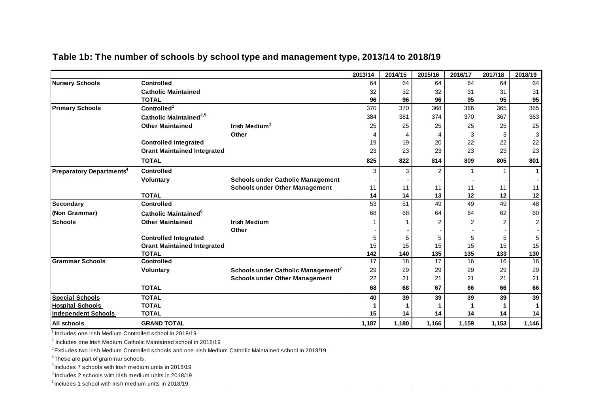|                                            |                                    |                                                | 2013/14 | 2014/15 | 2015/16 | 2016/17 | 2017/18        | 2018/19        |
|--------------------------------------------|------------------------------------|------------------------------------------------|---------|---------|---------|---------|----------------|----------------|
| <b>Nursery Schools</b>                     | <b>Controlled</b>                  |                                                | 64      | 64      | 64      | 64      | 64             | 64             |
|                                            | <b>Catholic Maintained</b>         |                                                | 32      | 32      | 32      | 31      | 31             | 31             |
|                                            | <b>TOTAL</b>                       |                                                | 96      | 96      | 96      | 95      | 95             | 95             |
| <b>Primary Schools</b>                     | Controlled <sup>1</sup>            |                                                | 370     | 370     | 368     | 366     | 365            | 365            |
|                                            | Catholic Maintained <sup>2,5</sup> |                                                | 384     | 381     | 374     | 370     | 367            | 363            |
|                                            | <b>Other Maintained</b>            | Irish Medium <sup>3</sup>                      | 25      | 25      | 25      | 25      | 25             | 25             |
|                                            |                                    | Other                                          | Δ       | 4       | 4       | 3       | 3              | 3              |
|                                            | <b>Controlled Integrated</b>       |                                                | 19      | 19      | 20      | 22      | 22             | 22             |
|                                            | <b>Grant Maintained Integrated</b> |                                                | 23      | 23      | 23      | 23      | 23             | 23             |
|                                            | <b>TOTAL</b>                       |                                                | 825     | 822     | 814     | 809     | 805            | 801            |
| <b>Preparatory Departments<sup>4</sup></b> | <b>Controlled</b>                  |                                                | 3       | 3       | 2       |         |                | 1              |
|                                            | Voluntary                          | <b>Schools under Catholic Management</b>       |         |         |         |         |                |                |
|                                            |                                    | <b>Schools under Other Management</b>          | 11      | 11      | 11      | 11      | 11             | 11             |
|                                            | <b>TOTAL</b>                       |                                                | 14      | 14      | 13      | 12      | 12             | 12             |
| Secondary                                  | <b>Controlled</b>                  |                                                | 53      | 51      | 49      | 49      | 49             | 48             |
| (Non Grammar)                              | Catholic Maintained <sup>6</sup>   |                                                | 68      | 68      | 64      | 64      | 62             | 60             |
| <b>Schools</b>                             | <b>Other Maintained</b>            | <b>Irish Medium</b>                            |         |         |         | 2       | $\overline{2}$ | $\overline{c}$ |
|                                            |                                    | Other                                          |         |         |         |         |                |                |
|                                            | <b>Controlled Integrated</b>       |                                                | 5       | 5       | 5       | 5       | 5              | 5              |
|                                            | <b>Grant Maintained Integrated</b> |                                                | 15      | 15      | 15      | 15      | 15             | 15             |
|                                            | <b>TOTAL</b>                       |                                                | 142     | 140     | 135     | 135     | 133            | 130            |
| <b>Grammar Schools</b>                     | <b>Controlled</b>                  |                                                | 17      | 18      | 17      | 16      | 16             | 16             |
|                                            | Voluntary                          | Schools under Catholic Management <sup>7</sup> | 29      | 29      | 29      | 29      | 29             | 29             |
|                                            |                                    | <b>Schools under Other Management</b>          | 22      | 21      | 21      | 21      | 21             | 21             |
|                                            | <b>TOTAL</b>                       |                                                | 68      | 68      | 67      | 66      | 66             | 66             |
| <b>Special Schools</b>                     | <b>TOTAL</b>                       |                                                | 40      | 39      | 39      | 39      | 39             | 39             |
| <b>Hospital Schools</b>                    | <b>TOTAL</b>                       |                                                |         |         |         |         |                |                |
| <b>Independent Schools</b>                 | <b>TOTAL</b>                       |                                                | 15      | 14      | 14      | 14      | 14             | 14             |
| All schools                                | <b>GRAND TOTAL</b>                 |                                                | 1,187   | 1,180   | 1,166   | 1,159   | 1,153          | 1,146          |

# **Table 1b: The number of schools by school type and management type, 2013/14 to 2018/19**

<sup>1</sup> Includes one Irish Medium Controlled school in 2018/19

 $2$  Includes one Irish Medium Catholic Maintained school in 2018/19

<sup>3</sup>Excludes two Irish Medium Controlled schools and one Irish Medium Catholic Maintained school in 2018/19

<sup>4</sup>These are part of grammar schools.

 $5$  Includes 7 schools with Irish medium units in 2018/19

 $^6$  Includes 2 schools with Irish medium units in 2018/19

 $7$  Includes 1 school with Irish medium units in 2018/19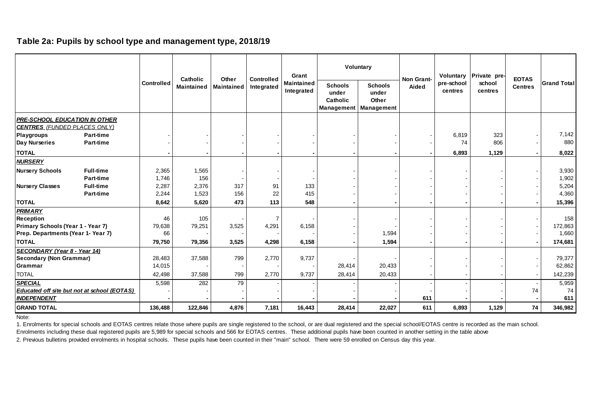#### **Table 2a: Pupils by school type and management type, 2018/19**

|                                                                             |                                                    |            | Catholic   | Other             | <b>Controlled</b> | Grant                           |                                                   | Voluntary                                             | Non Grant- | Voluntary             | Private pre-      | <b>EOTAS</b>   |                    |
|-----------------------------------------------------------------------------|----------------------------------------------------|------------|------------|-------------------|-------------------|---------------------------------|---------------------------------------------------|-------------------------------------------------------|------------|-----------------------|-------------------|----------------|--------------------|
|                                                                             |                                                    | Controlled | Maintained | <b>Maintained</b> | Integrated        | <b>Maintained</b><br>Integrated | <b>Schools</b><br>under<br>Catholic<br>Management | <b>Schools</b><br>under<br>Other<br><b>Management</b> | Aided      | pre-school<br>centres | school<br>centres | <b>Centres</b> | <b>Grand Total</b> |
| <b>PRE-SCHOOL EDUCATION IN OTHER</b><br><b>CENTRES</b> (FUNDED PLACES ONLY) |                                                    |            |            |                   |                   |                                 |                                                   |                                                       |            |                       |                   |                |                    |
| <b>Playgroups</b>                                                           | <b>Part-time</b>                                   |            |            |                   |                   |                                 |                                                   |                                                       |            | 6,819                 | 323               |                | 7,142              |
| Day Nurseries                                                               | Part-time                                          |            |            |                   |                   |                                 |                                                   |                                                       |            | 74                    | 806               |                | 880                |
| <b>TOTAL</b>                                                                |                                                    |            |            |                   |                   |                                 |                                                   |                                                       |            | 6,893                 | 1,129             |                | 8,022              |
| <b>NURSERY</b>                                                              |                                                    |            |            |                   |                   |                                 |                                                   |                                                       |            |                       |                   |                |                    |
| <b>Nursery Schools</b>                                                      | <b>Full-time</b>                                   | 2,365      | 1,565      |                   |                   |                                 |                                                   |                                                       |            |                       |                   |                | 3,930              |
|                                                                             | <b>Part-time</b>                                   | 1,746      | 156        |                   |                   |                                 |                                                   |                                                       |            |                       |                   |                | 1,902              |
| <b>Nursery Classes</b>                                                      | <b>Full-time</b>                                   | 2,287      | 2,376      | 317               | 91                | 133                             |                                                   |                                                       |            |                       |                   |                | 5,204              |
|                                                                             | Part-time                                          | 2,244      | 1,523      | 156               | 22                | 415                             |                                                   |                                                       |            |                       |                   |                | 4,360              |
| <b>TOTAL</b>                                                                |                                                    | 8,642      | 5,620      | 473               | 113               | 548                             |                                                   |                                                       |            |                       |                   |                | 15,396             |
| <b>PRIMARY</b>                                                              |                                                    |            |            |                   |                   |                                 |                                                   |                                                       |            |                       |                   |                |                    |
| <b>Reception</b>                                                            |                                                    | 46         | 105        |                   | $\overline{7}$    |                                 |                                                   |                                                       |            |                       |                   |                | 158                |
| Primary Schools (Year 1 - Year 7)                                           |                                                    | 79,638     | 79,251     | 3,525             | 4,291             | 6,158                           |                                                   |                                                       |            |                       |                   |                | 172,863            |
| Prep. Departments (Year 1- Year 7)                                          |                                                    | 66         |            |                   |                   |                                 |                                                   | 1,594                                                 |            |                       |                   |                | 1,660              |
| <b>TOTAL</b>                                                                |                                                    | 79,750     | 79,356     | 3,525             | 4,298             | 6,158                           |                                                   | 1,594                                                 |            |                       |                   |                | 174,681            |
| SECONDARY (Year 8 - Year 14)                                                |                                                    |            |            |                   |                   |                                 |                                                   |                                                       |            |                       |                   |                |                    |
| <b>Secondary (Non Grammar)</b>                                              |                                                    | 28,483     | 37,588     | 799               | 2,770             | 9,737                           |                                                   |                                                       |            |                       |                   |                | 79,377             |
| Grammar                                                                     |                                                    | 14,015     |            |                   |                   |                                 | 28,414                                            | 20,433                                                |            |                       |                   |                | 62,862             |
| <b>TOTAL</b>                                                                |                                                    | 42,498     | 37,588     | 799               | 2,770             | 9,737                           | 28,414                                            | 20,433                                                |            |                       |                   |                | 142,239            |
| <b>SPECIAL</b>                                                              |                                                    | 5,598      | 282        | 79                |                   |                                 |                                                   |                                                       |            |                       |                   |                | 5,959              |
| <b>INDEPENDENT</b>                                                          | <b>Educated off site but not at school (EOTAS)</b> |            |            |                   |                   |                                 |                                                   |                                                       | 611        |                       |                   | 74             | 74<br>611          |
| <b>GRAND TOTAL</b>                                                          |                                                    | 136,488    | 122,846    | 4,876             | 7,181             | 16,443                          | 28,414                                            | 22,027                                                | 611        | 6,893                 | 1,129             | 74             | 346,982            |
|                                                                             |                                                    |            |            |                   |                   |                                 |                                                   |                                                       |            |                       |                   |                |                    |

Note:

1. Enrolments for special schools and EOTAS centres relate those where pupils are single registered to the school, or are dual registered and the special school/EOTAS centre is recorded as the main school.

Enrolments including these dual registered pupils are 5,989 for special schools and 566 for EOTAS centres. These additional pupils have been counted in another setting in the table above

2. Previous bulletins provided enrolments in hospital schools. These pupils have been counted in their "main" school. There were 59 enrolled on Census day this year.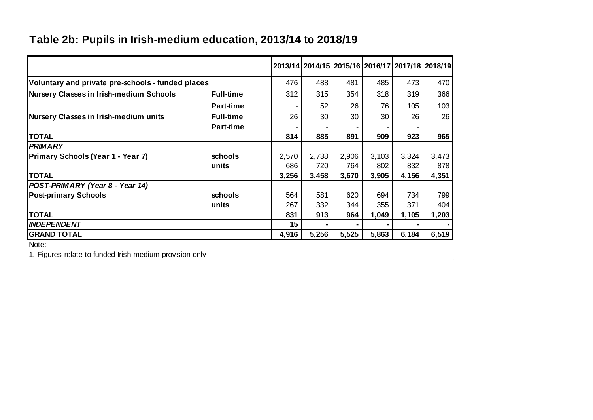# **Table 2b: Pupils in Irish-medium education, 2013/14 to 2018/19**

|                                                   |                  |       |       |       |       |       | 2013/14   2014/15   2015/16   2016/17   2017/18   2018/19 |
|---------------------------------------------------|------------------|-------|-------|-------|-------|-------|-----------------------------------------------------------|
| Voluntary and private pre-schools - funded places |                  | 476   | 488   | 481   | 485   | 473   | 470                                                       |
| <b>Nursery Classes in Irish-medium Schools</b>    | <b>Full-time</b> | 312   | 315   | 354   | 318   | 319   | 366                                                       |
|                                                   | <b>Part-time</b> |       | 52    | 26    | 76    | 105   | 103                                                       |
| Nursery Classes in Irish-medium units             | <b>Full-time</b> | 26    | 30    | 30    | 30    | 26    | 26                                                        |
|                                                   | <b>Part-time</b> |       |       |       |       |       |                                                           |
| <b>TOTAL</b>                                      |                  | 814   | 885   | 891   | 909   | 923   | 965                                                       |
| <b>PRIMARY</b>                                    |                  |       |       |       |       |       |                                                           |
| Primary Schools (Year 1 - Year 7)                 | schools          | 2,570 | 2,738 | 2,906 | 3,103 | 3,324 | 3,473                                                     |
|                                                   | units            | 686   | 720   | 764   | 802   | 832   | 878                                                       |
| <b>TOTAL</b>                                      |                  | 3,256 | 3,458 | 3,670 | 3,905 | 4,156 | 4,351                                                     |
| POST-PRIMARY (Year 8 - Year 14)                   |                  |       |       |       |       |       |                                                           |
| <b>Post-primary Schools</b>                       | schools          | 564   | 581   | 620   | 694   | 734   | 799                                                       |
|                                                   | units            | 267   | 332   | 344   | 355   | 371   | 404                                                       |
| <b>TOTAL</b>                                      |                  | 831   | 913   | 964   | 1,049 | 1,105 | 1,203                                                     |
| <b>INDEPENDENT</b>                                |                  | 15    |       |       |       |       |                                                           |
| <b>GRAND TOTAL</b>                                |                  | 4,916 | 5,256 | 5,525 | 5,863 | 6,184 | 6,519                                                     |

 $\sim$  $\sim 10^{-5}$ 

 $\sim$ 

Note:

1. Figures relate to funded Irish medium provision only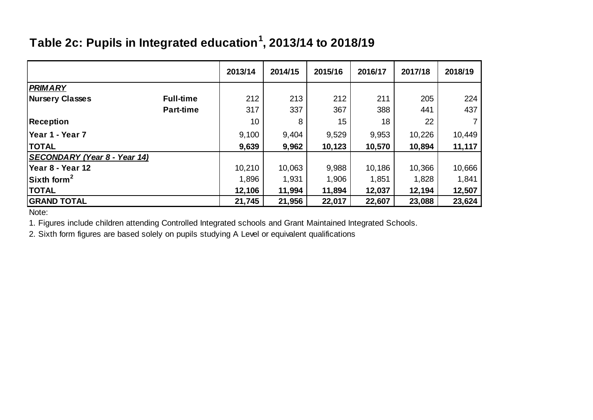# **Table 2c: Pupils in Integrated education<sup>1</sup> , 2013/14 to 2018/19**

|                                     |                  | 2013/14 | 2014/15 | 2015/16 | 2016/17 | 2017/18 | 2018/19 |
|-------------------------------------|------------------|---------|---------|---------|---------|---------|---------|
| <b>PRIMARY</b>                      |                  |         |         |         |         |         |         |
| <b>Nursery Classes</b>              | <b>Full-time</b> | 212     | 213     | 212     | 211     | 205     | 224     |
|                                     | <b>Part-time</b> | 317     | 337     | 367     | 388     | 441     | 437     |
| <b>Reception</b>                    |                  | 10      | 8       | 15      | 18      | 22      |         |
| lYear 1 - Year 7                    |                  | 9,100   | 9,404   | 9,529   | 9,953   | 10,226  | 10,449  |
| <b>TOTAL</b>                        |                  | 9,639   | 9,962   | 10,123  | 10,570  | 10,894  | 11,117  |
| <b>SECONDARY (Year 8 - Year 14)</b> |                  |         |         |         |         |         |         |
| Year 8 - Year 12                    |                  | 10,210  | 10,063  | 9,988   | 10,186  | 10,366  | 10,666  |
| $\sqrt{S}$ Sixth form <sup>2</sup>  |                  | 1,896   | 1,931   | 1,906   | 1,851   | 1,828   | 1,841   |
| <b>TOTAL</b>                        |                  | 12,106  | 11,994  | 11,894  | 12,037  | 12,194  | 12,507  |
| <b>GRAND TOTAL</b>                  |                  | 21,745  | 21,956  | 22,017  | 22,607  | 23,088  | 23,624  |

Note:

1. Figures include children attending Controlled Integrated schools and Grant Maintained Integrated Schools.

2. Sixth form figures are based solely on pupils studying A Level or equivalent qualifications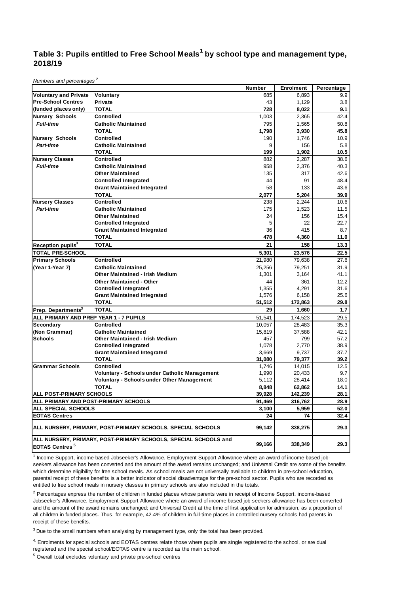#### **Table 3: Pupils entitled to Free School Meals<sup>1</sup> by school type and management type, 2018/19**

*Numbers and percentages <sup>2</sup>*

|                                        |                                                                 | Number          | <b>Enrolment</b> | Percentage   |
|----------------------------------------|-----------------------------------------------------------------|-----------------|------------------|--------------|
| <b>Voluntary and Private</b>           | Voluntary                                                       | 685             | 6,893            | 9.9          |
| <b>Pre-School Centres</b>              | Private                                                         | 43              | 1,129            | 3.8          |
| (funded places only)                   | <b>TOTAL</b>                                                    | 728             | 8,022            | 9.1          |
| <b>Nursery Schools</b>                 | <b>Controlled</b>                                               | 1,003           | 2,365            | 42.4         |
| <b>Full-time</b>                       | <b>Catholic Maintained</b>                                      | 795             | 1,565            | 50.8         |
|                                        | <b>TOTAL</b>                                                    | 1,798           | 3.930            | 45.8         |
| Nursery Schools                        | Controlled                                                      | 190             | 1,746            | 10.9         |
| <b>Part-time</b>                       | <b>Catholic Maintained</b>                                      | 9               | 156              | 5.8          |
|                                        | <b>TOTAL</b>                                                    | 199             | 1,902            | 10.5         |
| <b>Nursery Classes</b>                 | <b>Controlled</b>                                               | 882             | 2,287            | 38.6         |
| <b>Full-time</b>                       | <b>Catholic Maintained</b>                                      | 958             | 2,376            | 40.3         |
|                                        | <b>Other Maintained</b>                                         | 135             | 317              | 42.6         |
|                                        | <b>Controlled Integrated</b>                                    | 44              | 91               | 48.4         |
|                                        | <b>Grant Maintained Integrated</b>                              | 58              | 133              | 43.6         |
|                                        | <b>TOTAL</b>                                                    | 2,077           | 5.204            | 39.9         |
| <b>Nursery Classes</b>                 | <b>Controlled</b>                                               | 238             | 2,244            | 10.6         |
| Part-time                              | <b>Catholic Maintained</b>                                      | 175             | 1,523            | 11.5         |
|                                        | <b>Other Maintained</b>                                         | 24              | 156              | 15.4         |
|                                        | <b>Controlled Integrated</b>                                    | 5               | 22               | 22.7         |
|                                        | <b>Grant Maintained Integrated</b>                              | 36              | 415              | 8.7          |
|                                        | TOTAL                                                           | 478             | 4,360            | 11.0         |
| Reception pupils <sup>3</sup>          | <b>TOTAL</b>                                                    | 21              | 158              | 13.3         |
| <b>TOTAL PRE-SCHOOL</b>                |                                                                 | 5,301           | 23,576           | 22.5         |
| <b>Primary Schools</b>                 | <b>Controlled</b>                                               | 21,980          | 79,638           | 27.6         |
| (Year 1-Year 7)                        | <b>Catholic Maintained</b>                                      | 25,256          | 79,251           | 31.9         |
|                                        | <b>Other Maintained - Irish Medium</b>                          | 1,301           | 3,164            | 41.1         |
|                                        | <b>Other Maintained - Other</b>                                 | 44              | 361              | 12.2         |
|                                        | <b>Controlled Integrated</b>                                    | 1,355           | 4,291            | 31.6         |
|                                        | <b>Grant Maintained Integrated</b>                              | 1,576           | 6,158            | 25.6         |
|                                        | <b>TOTAL</b>                                                    | 51,512          | 172,863          | 29.8         |
| Prep. Departments <sup>3</sup>         | <b>TOTAL</b>                                                    | 29              | 1,660            | 1.7          |
| ALL PRIMARY AND PREP YEAR 1 - 7 PUPILS |                                                                 | 51,541          | 174,523          | 29.5         |
| Secondary                              | <b>Controlled</b>                                               | 10,057          | 28,483           | 35.3         |
| (Non Grammar)                          | <b>Catholic Maintained</b>                                      | 15,819          | 37,588           | 42.1         |
| <b>Schools</b>                         | Other Maintained - Irish Medium                                 | 457             | 799              | 57.2         |
|                                        | <b>Controlled Integrated</b>                                    | 1.078           | 2.770            | 38.9         |
|                                        | <b>Grant Maintained Integrated</b><br><b>TOTAL</b>              | 3,669           | 9,737            | 37.7         |
| <b>Grammar Schools</b>                 | <b>Controlled</b>                                               | 31,080<br>1,746 | 79,377<br>14,015 | 39.2<br>12.5 |
|                                        | <b>Voluntary - Schools under Catholic Management</b>            | 1,990           | 20,433           | 9.7          |
|                                        | <b>Voluntary - Schools under Other Management</b>               | 5,112           | 28,414           | 18.0         |
|                                        | <b>TOTAL</b>                                                    | 8,848           | 62,862           | 14.1         |
| <b>ALL POST-PRIMARY SCHOOLS</b>        |                                                                 | 39,928          | 142,239          | 28.1         |
|                                        | ALL PRIMARY AND POST-PRIMARY SCHOOLS                            | 91,469          | 316,762          | 28.9         |
| ALL SPECIAL SCHOOLS                    |                                                                 | 3,100           | 5,959            | 52.0         |
| <b>EOTAS Centres</b>                   |                                                                 | 24              | 74               | 32.4         |
|                                        | ALL NURSERY, PRIMARY, POST-PRIMARY SCHOOLS, SPECIAL SCHOOLS     | 99,142          | 338,275          | 29.3         |
| <b>EOTAS Centres<sup>5</sup></b>       | ALL NURSERY, PRIMARY, POST-PRIMARY SCHOOLS, SPECIAL SCHOOLS and | 99,166          | 338,349          | 29.3         |

<sup>1</sup> Income Support, income-based Jobseeker's Allowance, Employment Support Allowance where an award of income-based jobseekers allowance has been converted and the amount of the award remains unchanged; and Universal Credit are some of the benefits which determine eligibility for free school meals. As school meals are not universally available to children in pre-school education, parental receipt of these benefits is a better indicator of social disadvantage for the pre-school sector. Pupils who are recorded as entitled to free school meals in nursery classes in primary schools are also included in the totals.

<sup>2</sup> Percentages express the number of children in funded places whose parents were in receipt of Income Support, income-based Jobseeker's Allowance, Employment Support Allowance where an award of income-based job-seekers allowance has been converted and the amount of the award remains unchanged; and Universal Credit at the time of first application for admission, as a proportion of all children in funded places. Thus, for example, 42.4% of children in full-time places in controlled nursery schools had parents in receipt of these benefits.

<sup>3</sup> Due to the small numbers when analysing by management type, only the total has been provided.

4. Enrolments for special schools and EOTAS centres relate those where pupils are single registered to the school, or are dual registered and the special school/EOTAS centre is recorded as the main school.

5 Overall total excludes voluntary and private pre-school centres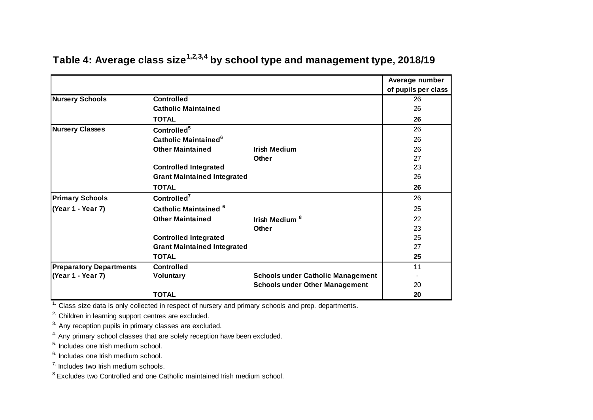|                                |                                        |                                          | Average number      |
|--------------------------------|----------------------------------------|------------------------------------------|---------------------|
|                                |                                        |                                          | of pupils per class |
| <b>Nursery Schools</b>         | <b>Controlled</b>                      |                                          | 26                  |
|                                | <b>Catholic Maintained</b>             |                                          | 26                  |
|                                | <b>TOTAL</b>                           |                                          | 26                  |
| <b>Nursery Classes</b>         | Controlled <sup>5</sup>                |                                          | 26                  |
|                                | <b>Catholic Maintained<sup>6</sup></b> |                                          | 26                  |
|                                | <b>Other Maintained</b>                | <b>Irish Medium</b>                      | 26                  |
|                                |                                        | Other                                    | 27                  |
|                                | <b>Controlled Integrated</b>           |                                          | 23                  |
|                                | <b>Grant Maintained Integrated</b>     |                                          | 26                  |
|                                | <b>TOTAL</b>                           |                                          | 26                  |
| <b>Primary Schools</b>         | Controlled <sup>7</sup>                |                                          | 26                  |
| (Year 1 - Year 7)              | Catholic Maintained <sup>6</sup>       |                                          | 25                  |
|                                | <b>Other Maintained</b>                | Irish Medium <sup>8</sup>                | 22                  |
|                                |                                        | Other                                    | 23                  |
|                                | <b>Controlled Integrated</b>           |                                          | 25                  |
|                                | <b>Grant Maintained Integrated</b>     |                                          | 27                  |
|                                | <b>TOTAL</b>                           |                                          | 25                  |
| <b>Preparatory Departments</b> | <b>Controlled</b>                      |                                          | 11                  |
| (Year 1 - Year 7)              | Voluntary                              | <b>Schools under Catholic Management</b> |                     |
|                                |                                        | <b>Schools under Other Management</b>    | 20                  |
|                                | <b>TOTAL</b>                           |                                          | 20                  |

# **Table 4: Average class size1,2,3,4 by school type and management type, 2018/19**

 $\frac{1}{1}$ . Class size data is only collected in respect of nursery and primary schools and prep. departments.

2. Children in learning support centres are excluded.

<sup>3.</sup> Any reception pupils in primary classes are excluded.

<sup>4.</sup> Any primary school classes that are solely reception have been excluded.

5. Includes one Irish medium school.

<sup>6.</sup> Includes one Irish medium school.

7. Includes two Irish medium schools.

<sup>8</sup> Excludes two Controlled and one Catholic maintained Irish medium school.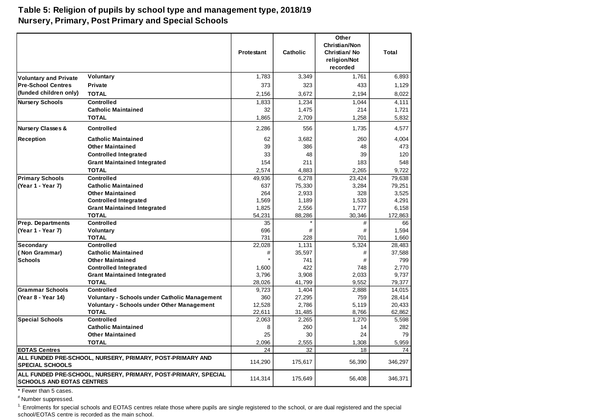#### **Table 5: Religion of pupils by school type and management type, 2018/19 Nursery, Primary, Post Primary and Special Schools**

|                                   |                                                                | <b>Protestant</b> | <b>Catholic</b> | Other<br><b>Christian/Non</b><br>Christian/No<br>religion/Not<br>recorded | Total            |
|-----------------------------------|----------------------------------------------------------------|-------------------|-----------------|---------------------------------------------------------------------------|------------------|
| <b>Voluntary and Private</b>      | <b>Voluntary</b>                                               | 1,783             | 3,349           | 1,761                                                                     | 6,893            |
| <b>Pre-School Centres</b>         | <b>Private</b>                                                 | 373               | 323             | 433                                                                       | 1,129            |
| (funded children only)            | <b>TOTAL</b>                                                   | 2,156             | 3,672           | 2,194                                                                     | 8,022            |
| <b>Nursery Schools</b>            | <b>Controlled</b>                                              | 1,833             | 1,234           | 1,044                                                                     | 4.111            |
|                                   | <b>Catholic Maintained</b>                                     | 32                | 1,475           | 214                                                                       | 1,721            |
|                                   | <b>TOTAL</b>                                                   | 1,865             | 2,709           | 1,258                                                                     | 5.832            |
| <b>Nursery Classes &amp;</b>      | <b>Controlled</b>                                              | 2,286             | 556             | 1,735                                                                     | 4,577            |
| <b>Reception</b>                  | <b>Catholic Maintained</b>                                     | 62                | 3,682           | 260                                                                       | 4,004            |
|                                   | <b>Other Maintained</b>                                        | 39                | 386             | 48                                                                        | 473              |
|                                   | <b>Controlled Integrated</b>                                   | 33                | 48              | 39                                                                        | 120              |
|                                   | <b>Grant Maintained Integrated</b>                             | 154               | 211             | 183                                                                       | 548              |
|                                   | <b>TOTAL</b>                                                   | 2,574             | 4,883           | 2,265                                                                     | 9,722            |
| <b>Primary Schools</b>            | <b>Controlled</b>                                              | 49.936            | 6,278           | 23,424                                                                    | 79,638           |
| (Year 1 - Year 7)                 | <b>Catholic Maintained</b>                                     | 637               | 75,330          | 3,284                                                                     | 79.251           |
|                                   | <b>Other Maintained</b>                                        | 264               | 2,933           | 328                                                                       | 3,525            |
|                                   | <b>Controlled Integrated</b>                                   | 1,569             | 1,189           | 1,533                                                                     | 4,291            |
|                                   | <b>Grant Maintained Integrated</b>                             | 1,825             | 2,556           | 1,777                                                                     | 6,158            |
|                                   | <b>TOTAL</b>                                                   | 54.231            | 88,286          | 30.346                                                                    | 172.863          |
| Prep. Departments                 | <b>Controlled</b>                                              | 35                |                 | #                                                                         | 66               |
| (Year 1 - Year 7)                 | Voluntary                                                      | 696               | #               | #                                                                         | 1,594            |
|                                   | <b>TOTAL</b><br><b>Controlled</b>                              | 731               | 228             | 701                                                                       | 1,660            |
| <b>Secondary</b><br>(Non Grammar) | <b>Catholic Maintained</b>                                     | 22.028<br>#       | 1.131           | 5,324<br>#                                                                | 28.483<br>37.588 |
| <b>Schools</b>                    | <b>Other Maintained</b>                                        |                   | 35,597<br>741   | #                                                                         | 799              |
|                                   | <b>Controlled Integrated</b>                                   | 1,600             | 422             | 748                                                                       | 2,770            |
|                                   | <b>Grant Maintained Integrated</b>                             | 3,796             | 3,908           | 2,033                                                                     | 9,737            |
|                                   | <b>TOTAL</b>                                                   | 28,026            | 41,799          | 9,552                                                                     | 79,377           |
| <b>Grammar Schools</b>            | <b>Controlled</b>                                              | 9,723             | 1,404           | 2,888                                                                     | 14,015           |
| (Year 8 - Year 14)                | <b>Voluntary - Schools under Catholic Management</b>           | 360               | 27,295          | 759                                                                       | 28,414           |
|                                   | <b>Voluntary - Schools under Other Management</b>              | 12,528            | 2,786           | 5,119                                                                     | 20,433           |
|                                   | <b>TOTAL</b>                                                   | 22,611            | 31,485          | 8,766                                                                     | 62,862           |
| <b>Special Schools</b>            | <b>Controlled</b>                                              | 2,063             | 2,265           | 1,270                                                                     | 5,598            |
|                                   | <b>Catholic Maintained</b>                                     | 8                 | 260             | 14                                                                        | 282              |
|                                   | <b>Other Maintained</b>                                        | 25                | 30              | 24                                                                        | 79               |
|                                   | <b>TOTAL</b>                                                   | 2,096             | 2,555           | 1,308                                                                     | 5,959            |
| <b>EOTAS Centres</b>              |                                                                | 24                | 32              | 18                                                                        | 74               |
| <b>SPECIAL SCHOOLS</b>            | ALL FUNDED PRE-SCHOOL, NURSERY, PRIMARY, POST-PRIMARY AND      | 114,290           | 175,617         | 56,390                                                                    | 346,297          |
| <b>SCHOOLS AND EOTAS CENTRES</b>  | ALL FUNDED PRE-SCHOOL, NURSERY, PRIMARY, POST-PRIMARY, SPECIAL | 114,314           | 175,649         | 56,408                                                                    | 346,371          |

\* Fewer than 5 cases.

# Number suppressed.

<sup>1.</sup> Enrolments for special schools and EOTAS centres relate those where pupils are single registered to the school, or are dual registered and the special school/EOTAS centre is recorded as the main school.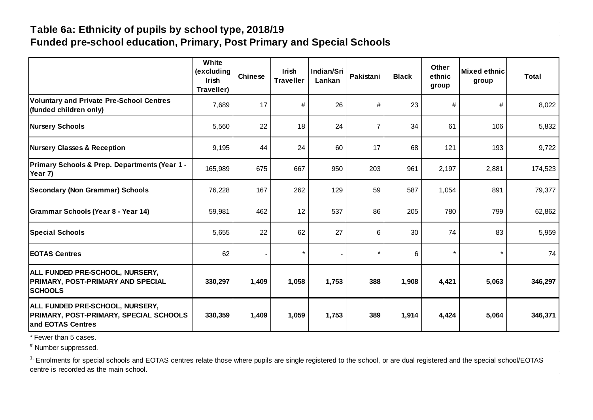# **Table 6a: Ethnicity of pupils by school type, 2018/19 Funded pre-school education, Primary, Post Primary and Special Schools**

|                                                                                                | White<br>(excluding<br><b>Irish</b><br>Traveller) | Chinese | <b>Irish</b><br><b>Traveller</b> | Indian/Sri<br>Lankan | Pakistani      | <b>Black</b> | <b>Other</b><br>ethnic<br>group | <b>Mixed ethnic</b><br>group | <b>Total</b> |
|------------------------------------------------------------------------------------------------|---------------------------------------------------|---------|----------------------------------|----------------------|----------------|--------------|---------------------------------|------------------------------|--------------|
| <b>Voluntary and Private Pre-School Centres</b><br>(funded children only)                      | 7,689                                             | 17      | #                                | 26                   | #              | 23           | #                               | $\#$                         | 8,022        |
| <b>Nursery Schools</b>                                                                         | 5,560                                             | 22      | 18                               | 24                   | $\overline{7}$ | 34           | 61                              | 106                          | 5,832        |
| <b>Nursery Classes &amp; Reception</b>                                                         | 9,195                                             | 44      | 24                               | 60                   | 17             | 68           | 121                             | 193                          | 9,722        |
| Primary Schools & Prep. Departments (Year 1 -<br>Year 7)                                       | 165,989                                           | 675     | 667                              | 950                  | 203            | 961          | 2,197                           | 2,881                        | 174,523      |
| <b>Secondary (Non Grammar) Schools</b>                                                         | 76,228                                            | 167     | 262                              | 129                  | 59             | 587          | 1,054                           | 891                          | 79,377       |
| Grammar Schools (Year 8 - Year 14)                                                             | 59,981                                            | 462     | 12                               | 537                  | 86             | 205          | 780                             | 799                          | 62,862       |
| <b>Special Schools</b>                                                                         | 5,655                                             | 22      | 62                               | 27                   | 6              | 30           | 74                              | 83                           | 5,959        |
| <b>EOTAS Centres</b>                                                                           | 62                                                |         |                                  |                      |                | 6            | $\star$                         | $\star$                      | 74           |
| ALL FUNDED PRE-SCHOOL, NURSERY,<br>PRIMARY, POST-PRIMARY AND SPECIAL<br><b>SCHOOLS</b>         | 330,297                                           | 1,409   | 1,058                            | 1,753                | 388            | 1,908        | 4,421                           | 5,063                        | 346,297      |
| ALL FUNDED PRE-SCHOOL, NURSERY,<br>PRIMARY, POST-PRIMARY, SPECIAL SCHOOLS<br>and EOTAS Centres | 330,359                                           | 1,409   | 1,059                            | 1,753                | 389            | 1,914        | 4,424                           | 5,064                        | 346,371      |

\* Fewer than 5 cases.

# Number suppressed.

<sup>1.</sup> Enrolments for special schools and EOTAS centres relate those where pupils are single registered to the school, or are dual registered and the special school/EOTAS centre is recorded as the main school.  $\sim 10^{-10}$ and the second control of the second control of the second control of the second control of the second control of and the company

 $\mathcal{A}$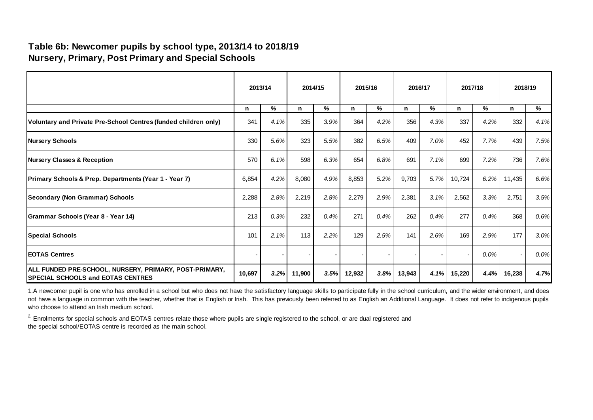# **Table 6b: Newcomer pupils by school type, 2013/14 to 2018/19 Nursery, Primary, Post Primary and Special Schools**

|                                                                                                    | 2013/14 |      | 2014/15 |      | 2015/16 |      | 2016/17 |      | 2017/18 |         | 2018/19 |      |
|----------------------------------------------------------------------------------------------------|---------|------|---------|------|---------|------|---------|------|---------|---------|---------|------|
|                                                                                                    | n.      | %    | n.      | %    | n.      | %    | n       | %    | n       | %       | n.      | %    |
| Voluntary and Private Pre-School Centres (funded children only)                                    | 341     | 4.1% | 335     | 3.9% | 364     | 4.2% | 356     | 4.3% | 337     | 4.2%    | 332     | 4.1% |
| <b>Nursery Schools</b>                                                                             | 330     | 5.6% | 323     | 5.5% | 382     | 6.5% | 409     | 7.0% | 452     | 7.7%    | 439     | 7.5% |
| <b>Nursery Classes &amp; Reception</b>                                                             | 570     | 6.1% | 598     | 6.3% | 654     | 6.8% | 691     | 7.1% | 699     | 7.2%    | 736     | 7.6% |
| <b>Primary Schools &amp; Prep. Departments (Year 1 - Year 7)</b>                                   | 6,854   | 4.2% | 8,080   | 4.9% | 8,853   | 5.2% | 9,703   | 5.7% | 10,724  | 6.2%    | 11,435  | 6.6% |
| <b>Secondary (Non Grammar) Schools</b>                                                             | 2,288   | 2.8% | 2,219   | 2.8% | 2,279   | 2.9% | 2,381   | 3.1% | 2,562   | 3.3%    | 2,751   | 3.5% |
| Grammar Schools (Year 8 - Year 14)                                                                 | 213     | 0.3% | 232     | 0.4% | 271     | 0.4% | 262     | 0.4% | 277     | 0.4%    | 368     | 0.6% |
| <b>Special Schools</b>                                                                             | 101     | 2.1% | 113     | 2.2% | 129     | 2.5% | 141     | 2.6% | 169     | 2.9%    | 177     | 3.0% |
| <b>IEOTAS Centres</b>                                                                              |         | ۰    |         |      |         |      |         |      |         | $0.0\%$ |         | 0.0% |
| ALL FUNDED PRE-SCHOOL, NURSERY, PRIMARY, POST-PRIMARY,<br><b>SPECIAL SCHOOLS and EOTAS CENTRES</b> | 10,697  | 3.2% | 11,900  | 3.5% | 12,932  | 3.8% | 13,943  | 4.1% | 15,220  | 4.4%    | 16,238  | 4.7% |

1.A newcomer pupil is one who has enrolled in a school but who does not have the satisfactory language skills to participate fully in the school curriculum, and the wider environment, and does not have a language in common with the teacher, whether that is English or Irish. This has previously been referred to as English an Additional Language. It does not refer to indigenous pupils who choose to attend an Irish medium school.

<sup>2.</sup> Enrolments for special schools and EOTAS centres relate those where pupils are single registered to the school, or are dual registered and the special school/EOTAS centre is recorded as the main school.